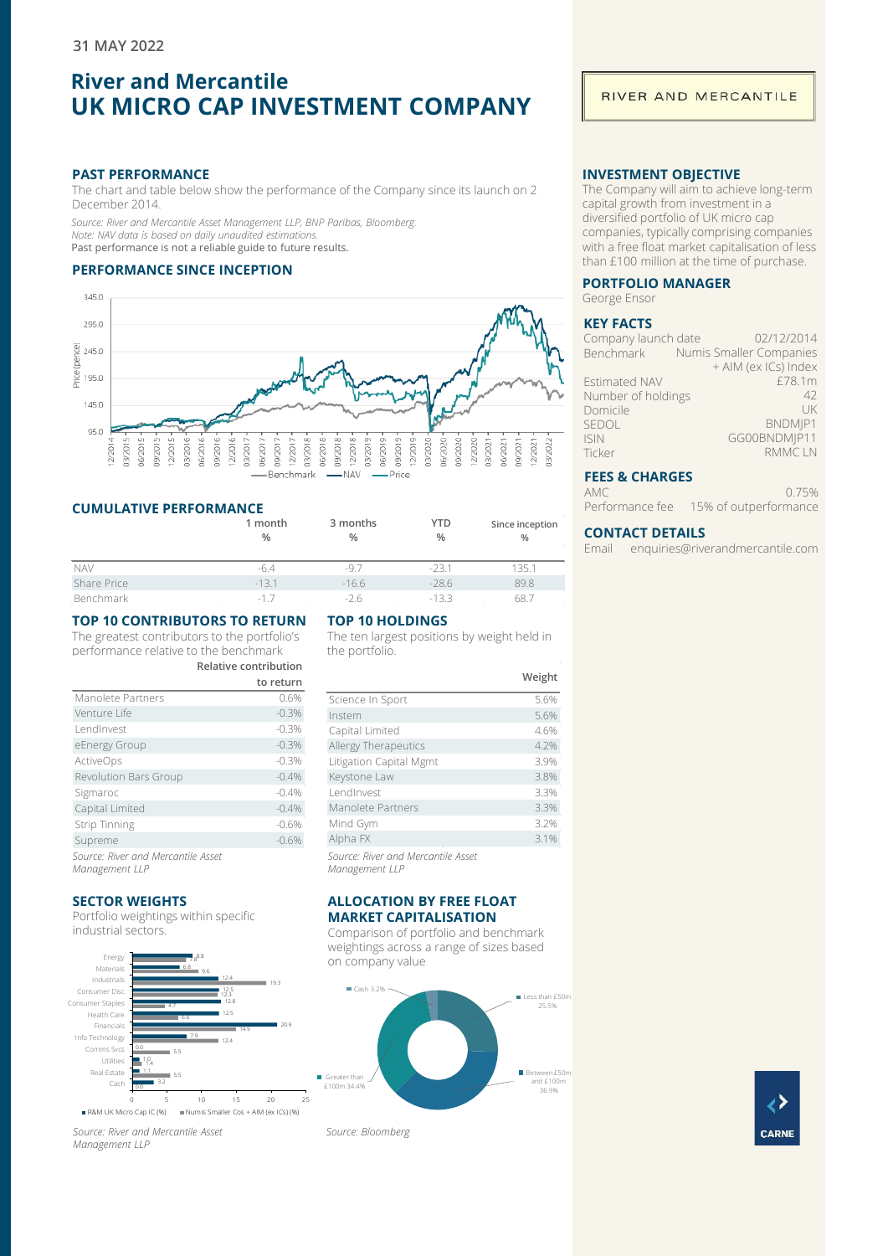# **River and Mercantile UK MICRO CAP INVESTMENT COMPANY**

#### **PAST PERFORMANCE**

The chart and table below show the performance of the Company since its launch on 2 December 2014.

*Source: River and Mercantile Asset Management LLP, BNP Paribas, Bloomberg. Note: NAV data is based on daily unaudited estimations.* Past performance is not a reliable guide to future results.

## **PERFORMANCE SINCE INCEPTION**



## **CUMULATIVE PERFORMANCE**

|             | 1 month<br>$\frac{0}{0}$ | 3 months<br>% | YTD<br>% | Since inception<br>$\frac{0}{0}$ |
|-------------|--------------------------|---------------|----------|----------------------------------|
|             |                          |               |          |                                  |
| <b>NAV</b>  | -6.4                     | $-97$         | $-23.1$  | 135.1                            |
| Share Price | $-13.1$                  | $-16.6$       | $-28.6$  | 89.8                             |
| Benchmark   | $-17$                    | $-26$         | $-133$   | 68.7                             |

# **TOP 10 CONTRIBUTORS TO RETURN**

The greatest contributors to the portfolio's performance relative to the benchmark **Relative contribution**

|                                    | to return |
|------------------------------------|-----------|
| Manolete Partners                  | 0.6%      |
| Venture Life                       | $-0.3%$   |
| LendInvest                         | $-0.3%$   |
| eEnergy Group                      | $-0.3%$   |
| <b>ActiveOps</b>                   | $-0.3%$   |
| Revolution Bars Group              | $-0.4%$   |
| Sigmaroc                           | $-0.4%$   |
| Capital Limited                    | $-0.4%$   |
| <b>Strip Tinning</b>               | $-0.6%$   |
| Supreme                            | $-0.6%$   |
| Source: River and Mercantile Asset |           |

*Management LLP*

### **SECTOR WEIGHTS**

Portfolio weightings within specific industrial sectors.



*Source: River and Mercantile Asset Management LLP*

# **TOP 10 HOLDINGS**

The ten largest positions by weight held in the portfolio.

|                                                      | Weight |
|------------------------------------------------------|--------|
| Science In Sport                                     | 5.6%   |
| Instem                                               | 5.6%   |
| Capital Limited                                      | 4.6%   |
| Allergy Therapeutics                                 | 4.2%   |
| Litigation Capital Mgmt                              | 3.9%   |
| Keystone Law                                         | 3.8%   |
| I endInvest                                          | 3.3%   |
| Manolete Partners                                    | 3.3%   |
| Mind Gym                                             | 3.2%   |
| Alpha FX                                             | 3.1%   |
| Source: River and Mercantile Asset<br>Management LLP |        |

#### **ALLOCATION BY FREE FLOAT MARKET CAPITALISATION**

Comparison of portfolio and benchmark weightings across a range of sizes based on company value



ć **CARNE** 

## RIVER AND MERCANTILE

## **INVESTMENT OBJECTIVE**

The Company will aim to achieve long-term capital growth from investment in a diversified portfolio of UK micro cap companies, typically comprising companies with a free float market capitalisation of less than £100 million at the time of purchase.

## **PORTFOLIO MANAGER**

George Ensor

## **KEY FACTS**

| Company launch date  | 02/12/2014                        |
|----------------------|-----------------------------------|
|                      | Benchmark Numis Smaller Companies |
|                      | + AIM (ex ICs) Index              |
| <b>Estimated NAV</b> | £78.1m                            |
| Number of holdings   | 42                                |
| Domicile             | l JK                              |
| SEDOL                | BNDMIP1                           |
| <b>ISIN</b>          | GG00BNDMIP11                      |
| Ticker               | <b>RMMCLN</b>                     |
|                      |                                   |

## **FEES & CHARGES**

AMC Performance fee 15% of outperformance 0.75%

## **CONTACT DETAILS**

Email enquiries@riverandmercantile.com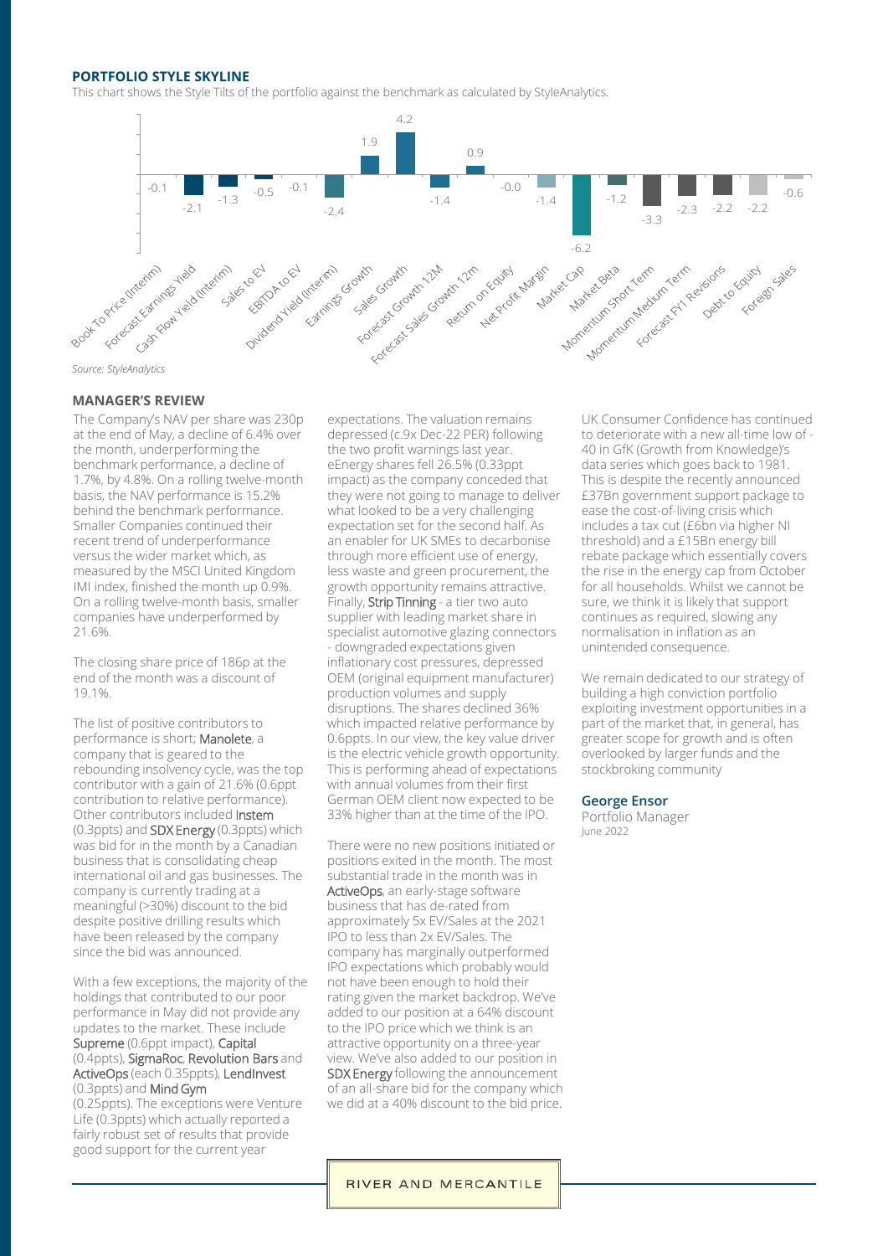#### **PORTFOLIO STYLE SKYLINE**

This chart shows the Style Tilts of the portfolio against the benchmark as calculated by StyleAnalytics.



## **MANAGER'S REVIEW**

The Company's NAV per share was 230p at the end of May, a decline of 6.4% over the month, underperforming the benchmark performance, a decline of 1.7%, by 4.8%. On a rolling twelve-month basis, the NAV performance is 15.2% behind the benchmark performance. Smaller Companies continued their recent trend of underperformance versus the wider market which, as measured by the MSCI United Kingdom IMI index, finished the month up  $0.9\%$ . On a rolling twelve-month basis, smaller companies have underperformed by 21.6%.

The closing share price of 186p at the end of the month was a discount of 19.1%.

The list of positive contributors to performance is short; Manolete, a company that is geared to the rebounding insolvency cycle, was the top contributor with a gain of 21.6% (0.6ppt contribution to relative performance). Other contributors included Instem (0.3ppts) and SDX Energy (0.3ppts) which was bid for in the month by a Canadian business that is consolidating cheap international oil and gas businesses. The company is currently trading at a meaningful (>30%) discount to the bid despite positive drilling results which have been released by the company since the bid was announced.

With a few exceptions, the majority of the holdings that contributed to our poor performance in May did not provide any updates to the market. These include Supreme (0.6ppt impact), Capital (0.4ppts), SigmaRoc, Revolution Bars and ActiveOps (each 0.35ppts), LendInvest (0.3ppts) and Mind Gym

(0.25ppts). The exceptions were Venture Life (0.3ppts) which actually reported a fairly robust set of results that provide good support for the current year

expectations. The valuation remains depressed (c.9x Dec-22 PER) following the two profit warnings last year. eEnergy shares fell 26.5% (0.33ppt impact) as the company conceded that they were not going to manage to deliver what looked to be a very challenging expectation set for the second half. As an enabler for UK SMEs to decarbonise through more efficient use of energy, less waste and green procurement, the growth opportunity remains attractive. Finally, Strip Tinning - a tier two auto supplier with leading market share in specialist automotive glazing connectors - downgraded expectations given inflationary cost pressures, depressed OEM (original equipment manufacturer) production volumes and supply disruptions. The shares declined 36% which impacted relative performance by 0.6ppts. In our view, the key value driver is the electric vehicle growth opportunity. This is performing ahead of expectations with annual volumes from their first German OEM client now expected to be 33% higher than at the time of the IPO.

There were no new positions initiated or positions exited in the month. The most substantial trade in the month was in ActiveOps, an early-stage software business that has de-rated from approximately 5x EV/Sales at the 2021 IPO to less than 2x EV/Sales. The company has marginally outperformed IPO expectations which probably would not have been enough to hold their rating given the market backdrop. We've added to our position at a 64% discount to the IPO price which we think is an attractive opportunity on a three-year view. We've also added to our position in SDX Energy following the announcement of an all-share bid for the company which we did at a 40% discount to the bid price.

UK Consumer Confidence has continued to deteriorate with a new all-time low of - 40 in GfK (Growth from Knowledge)'s data series which goes back to 1981. This is despite the recently announced £37Bn government support package to ease the cost-of-living crisis which includes a tax cut (£6bn via higher NI threshold) and a £15Bn energy bill rebate package which essentially covers the rise in the energy cap from October for all households. Whilst we cannot be sure, we think it is likely that support continues as required, slowing any normalisation in inflation as an unintended consequence.

We remain dedicated to our strategy of building a high conviction portfolio exploiting investment opportunities in a part of the market that, in general, has greater scope for growth and is often overlooked by larger funds and the stockbroking community

#### **George Ensor**

Portfolio Manager June 2022